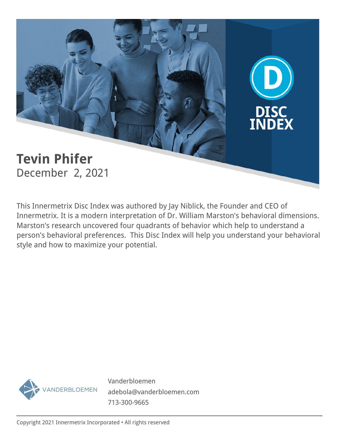

This Innermetrix Disc Index was authored by Jay Niblick, the Founder and CEO of Innermetrix. It is a modern interpretation of Dr. William Marston's behavioral dimensions. Marston's research uncovered four quadrants of behavior which help to understand a person's behavioral preferences. This Disc Index will help you understand your behavioral style and how to maximize your potential.



Vanderbloemen adebola@vanderbloemen.com 713-300-9665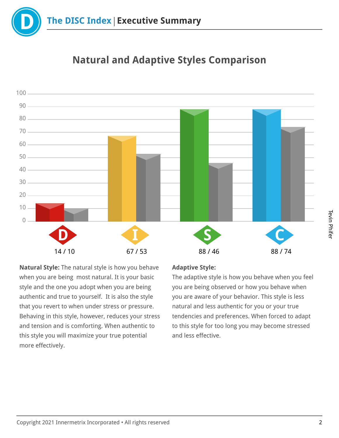

# **Natural and Adaptive Styles Comparison**



**Natural Style:** The natural style is how you behave when you are being most natural. It is your basic style and the one you adopt when you are being authentic and true to yourself. It is also the style that you revert to when under stress or pressure. Behaving in this style, however, reduces your stress and tension and is comforting. When authentic to this style you will maximize your true potential more effectively.

## **Adaptive Style:**

The adaptive style is how you behave when you feel you are being observed or how you behave when you are aware of your behavior. This style is less natural and less authentic for you or your true tendencies and preferences. When forced to adapt to this style for too long you may become stressed and less effective.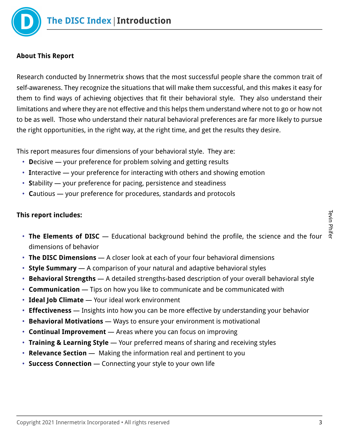

## **About This Report**

Research conducted by Innermetrix shows that the most successful people share the common trait of self-awareness. They recognize the situations that will make them successful, and this makes it easy for them to find ways of achieving objectives that fit their behavioral style. They also understand their limitations and where they are not effective and this helps them understand where not to go or how not to be as well. Those who understand their natural behavioral preferences are far more likely to pursue the right opportunities, in the right way, at the right time, and get the results they desire.

This report measures four dimensions of your behavioral style. They are:

- **D**ecisive your preference for problem solving and getting results
- **I**nteractive your preference for interacting with others and showing emotion
- **S**tability your preference for pacing, persistence and steadiness
- **C**autious your preference for procedures, standards and protocols

## **This report includes:**

- **The Elements of DISC** Educational background behind the profile, the science and the four dimensions of behavior
- **The DISC Dimensions** A closer look at each of your four behavioral dimensions
- **Style Summary** A comparison of your natural and adaptive behavioral styles
- **Behavioral Strengths** A detailed strengths-based description of your overall behavioral style
- **Communication** Tips on how you like to communicate and be communicated with
- **Ideal Job Climate** Your ideal work environment
- **Effectiveness** Insights into how you can be more effective by understanding your behavior
- **Behavioral Motivations** Ways to ensure your environment is motivational
- **Continual Improvement** Areas where you can focus on improving
- **Training & Learning Style** Your preferred means of sharing and receiving styles
- **Relevance Section** Making the information real and pertinent to you
- **Success Connection** Connecting your style to your own life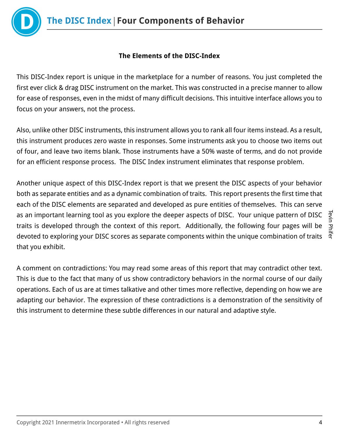

# **The Elements of the DISC-Index**

This DISC-Index report is unique in the marketplace for a number of reasons. You just completed the first ever click & drag DISC instrument on the market. This was constructed in a precise manner to allow for ease of responses, even in the midst of many difficult decisions. This intuitive interface allows you to focus on your answers, not the process.

Also, unlike other DISC instruments, this instrument allows you to rank all four items instead. As a result, this instrument produces zero waste in responses. Some instruments ask you to choose two items out of four, and leave two items blank. Those instruments have a 50% waste of terms, and do not provide for an efficient response process. The DISC Index instrument eliminates that response problem.

Another unique aspect of this DISC-Index report is that we present the DISC aspects of your behavior both as separate entities and as a dynamic combination of traits. This report presents the first time that each of the DISC elements are separated and developed as pure entities of themselves. This can serve as an important learning tool as you explore the deeper aspects of DISC. Your unique pattern of DISC traits is developed through the context of this report. Additionally, the following four pages will be devoted to exploring your DISC scores as separate components within the unique combination of traits that you exhibit.

A comment on contradictions: You may read some areas of this report that may contradict other text. This is due to the fact that many of us show contradictory behaviors in the normal course of our daily operations. Each of us are at times talkative and other times more reflective, depending on how we are adapting our behavior. The expression of these contradictions is a demonstration of the sensitivity of this instrument to determine these subtle differences in our natural and adaptive style.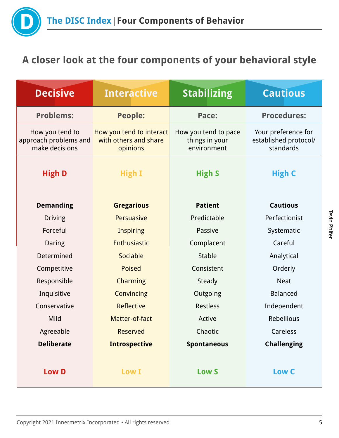

# **A closer look at the four components of your behavioral style**

| <b>Decisive</b>                                            | <b>Interactive</b>                                            | <b>Stabilizing</b>                                    | <b>Cautious</b>                                           |
|------------------------------------------------------------|---------------------------------------------------------------|-------------------------------------------------------|-----------------------------------------------------------|
| <b>Problems:</b>                                           | <b>People:</b>                                                | Pace:                                                 | <b>Procedures:</b>                                        |
| How you tend to<br>approach problems and<br>make decisions | How you tend to interact<br>with others and share<br>opinions | How you tend to pace<br>things in your<br>environment | Your preference for<br>established protocol/<br>standards |
| <b>High D</b>                                              | High I                                                        | <b>High S</b>                                         | <b>High C</b>                                             |
| <b>Demanding</b>                                           | <b>Gregarious</b>                                             | <b>Patient</b>                                        | <b>Cautious</b>                                           |
| <b>Driving</b>                                             | Persuasive                                                    | Predictable                                           | Perfectionist                                             |
| Forceful                                                   | <b>Inspiring</b>                                              | Passive                                               | Systematic                                                |
| Daring                                                     | Enthusiastic                                                  | Complacent                                            | Careful                                                   |
| Determined                                                 | Sociable                                                      | <b>Stable</b>                                         | Analytical                                                |
| Competitive                                                | <b>Poised</b>                                                 | Consistent                                            | Orderly                                                   |
| Responsible                                                | <b>Charming</b>                                               | Steady                                                | <b>Neat</b>                                               |
| Inquisitive                                                | Convincing                                                    | Outgoing                                              | <b>Balanced</b>                                           |
| Conservative                                               | <b>Reflective</b>                                             | <b>Restless</b>                                       | Independent                                               |
| Mild                                                       | Matter-of-fact                                                | Active                                                | Rebellious                                                |
| Agreeable                                                  | Reserved                                                      | Chaotic                                               | Careless                                                  |
| <b>Deliberate</b>                                          | <b>Introspective</b>                                          | <b>Spontaneous</b>                                    | <b>Challenging</b>                                        |
|                                                            |                                                               |                                                       |                                                           |
| <b>Low D</b>                                               | <b>Low I</b>                                                  | <b>Low S</b>                                          | Low C                                                     |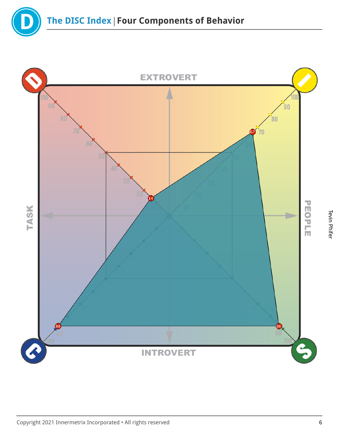

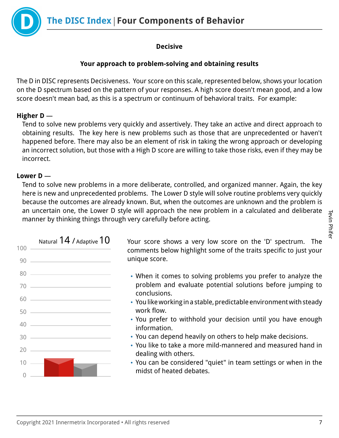**The DISC Index | Four Components of Behavior** 



# **Decisive**

# **Your approach to problem-solving and obtaining results**

The D in DISC represents Decisiveness. Your score on this scale, represented below, shows your location on the D spectrum based on the pattern of your responses. A high score doesn't mean good, and a low score doesn't mean bad, as this is a spectrum or continuum of behavioral traits. For example:

# **Higher D** —

Tend to solve new problems very quickly and assertively. They take an active and direct approach to obtaining results. The key here is new problems such as those that are unprecedented or haven't happened before. There may also be an element of risk in taking the wrong approach or developing an incorrect solution, but those with a High D score are willing to take those risks, even if they may be incorrect.

# **Lower D** —

Tend to solve new problems in a more deliberate, controlled, and organized manner. Again, the key here is new and unprecedented problems. The Lower D style will solve routine problems very quickly because the outcomes are already known. But, when the outcomes are unknown and the problem is an uncertain one, the Lower D style will approach the new problem in a calculated and deliberate manner by thinking things through very carefully before acting.



Natural  $14$  / Adaptive  $10$  Your score shows a very low score on the 'D' spectrum. The comments below highlight some of the traits specific to just your unique score.

- When it comes to solving problems you prefer to analyze the problem and evaluate potential solutions before jumping to conclusions.
- You like working in a stable, predictable environment with steady work flow.
- You prefer to withhold your decision until you have enough information.
- You can depend heavily on others to help make decisions.
- You like to take a more mild-mannered and measured hand in dealing with others.
- You can be considered "quiet" in team settings or when in the midst of heated debates.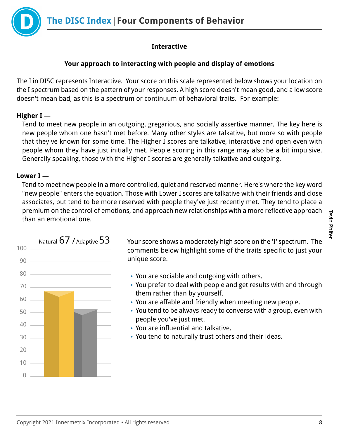

# **Interactive**

# **Your approach to interacting with people and display of emotions**

The I in DISC represents Interactive. Your score on this scale represented below shows your location on the I spectrum based on the pattern of your responses. A high score doesn't mean good, and a low score doesn't mean bad, as this is a spectrum or continuum of behavioral traits. For example:

# **Higher I** —

Tend to meet new people in an outgoing, gregarious, and socially assertive manner. The key here is new people whom one hasn't met before. Many other styles are talkative, but more so with people that they've known for some time. The Higher I scores are talkative, interactive and open even with people whom they have just initially met. People scoring in this range may also be a bit impulsive. Generally speaking, those with the Higher I scores are generally talkative and outgoing.

# **Lower I** —

Tend to meet new people in a more controlled, quiet and reserved manner. Here's where the key word "new people" enters the equation. Those with Lower I scores are talkative with their friends and close associates, but tend to be more reserved with people they've just recently met. They tend to place a premium on the control of emotions, and approach new relationships with a more reflective approach than an emotional one.



Natural  $67$  / Adaptive  $53$  Your score shows a moderately high score on the 'I' spectrum. The comments below highlight some of the traits specific to just your unique score.

- You are sociable and outgoing with others.
- You prefer to deal with people and get results with and through them rather than by yourself.
- You are affable and friendly when meeting new people.
- You tend to be always ready to converse with a group, even with people you've just met.
- You are influential and talkative.
- You tend to naturally trust others and their ideas.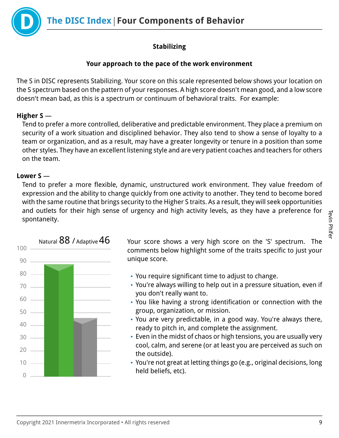**The DISC Index Four Components of Behavior**

# **Stabilizing**

# **Your approach to the pace of the work environment**

The S in DISC represents Stabilizing. Your score on this scale represented below shows your location on the S spectrum based on the pattern of your responses. A high score doesn't mean good, and a low score doesn't mean bad, as this is a spectrum or continuum of behavioral traits. For example:

# **Higher S** —

Tend to prefer a more controlled, deliberative and predictable environment. They place a premium on security of a work situation and disciplined behavior. They also tend to show a sense of loyalty to a team or organization, and as a result, may have a greater longevity or tenure in a position than some other styles. They have an excellent listening style and are very patient coaches and teachers for others on the team.

# **Lower S** —

Tend to prefer a more flexible, dynamic, unstructured work environment. They value freedom of expression and the ability to change quickly from one activity to another. They tend to become bored with the same routine that brings security to the Higher S traits. As a result, they will seek opportunities and outlets for their high sense of urgency and high activity levels, as they have a preference for spontaneity.



Natural  $88$  / Adaptive  $46$  Your score shows a very high score on the 'S' spectrum. The comments below highlight some of the traits specific to just your unique score.

- You require significant time to adjust to change.
- You're always willing to help out in a pressure situation, even if you don't really want to.
- You like having a strong identification or connection with the group, organization, or mission.
- You are very predictable, in a good way. You're always there, ready to pitch in, and complete the assignment.
- Even in the midst of chaos or high tensions, you are usually very cool, calm, and serene (or at least you are perceived as such on the outside).
- You're not great at letting things go (e.g., original decisions, long held beliefs, etc).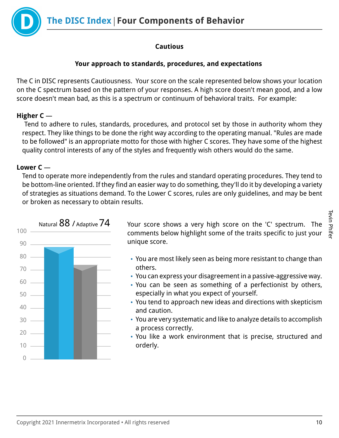

# **Cautious**

# **Your approach to standards, procedures, and expectations**

The C in DISC represents Cautiousness. Your score on the scale represented below shows your location on the C spectrum based on the pattern of your responses. A high score doesn't mean good, and a low score doesn't mean bad, as this is a spectrum or continuum of behavioral traits. For example:

# **Higher C** —

 Tend to adhere to rules, standards, procedures, and protocol set by those in authority whom they respect. They like things to be done the right way according to the operating manual. "Rules are made to be followed" is an appropriate motto for those with higher C scores. They have some of the highest quality control interests of any of the styles and frequently wish others would do the same.

# **Lower C** —

Tend to operate more independently from the rules and standard operating procedures. They tend to be bottom-line oriented. If they find an easier way to do something, they'll do it by developing a variety of strategies as situations demand. To the Lower C scores, rules are only guidelines, and may be bent or broken as necessary to obtain results.



Natural  $88$  / Adaptive  $74$  Your score shows a very high score on the 'C' spectrum. The comments below highlight some of the traits specific to just your unique score.

- You are most likely seen as being more resistant to change than others.
- You can express your disagreement in a passive-aggressive way.
- You can be seen as something of a perfectionist by others, especially in what you expect of yourself.
- You tend to approach new ideas and directions with skepticism and caution.
- You are very systematic and like to analyze details to accomplish a process correctly.
- You like a work environment that is precise, structured and orderly.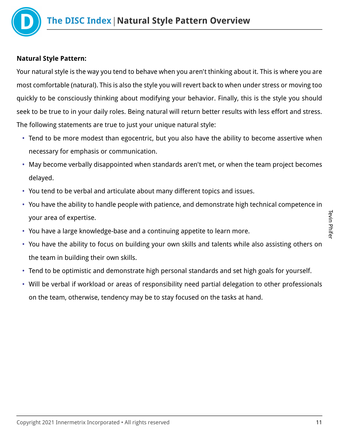

# **Natural Style Pattern:**

Your natural style is the way you tend to behave when you aren't thinking about it. This is where you are most comfortable (natural). This is also the style you will revert back to when under stress or moving too quickly to be consciously thinking about modifying your behavior. Finally, this is the style you should seek to be true to in your daily roles. Being natural will return better results with less effort and stress. The following statements are true to just your unique natural style:

- Tend to be more modest than egocentric, but you also have the ability to become assertive when necessary for emphasis or communication.
- May become verbally disappointed when standards aren't met, or when the team project becomes delayed.
- You tend to be verbal and articulate about many different topics and issues.
- You have the ability to handle people with patience, and demonstrate high technical competence in your area of expertise.
- You have a large knowledge-base and a continuing appetite to learn more.
- You have the ability to focus on building your own skills and talents while also assisting others on the team in building their own skills.
- Tend to be optimistic and demonstrate high personal standards and set high goals for yourself.
- Will be verbal if workload or areas of responsibility need partial delegation to other professionals on the team, otherwise, tendency may be to stay focused on the tasks at hand.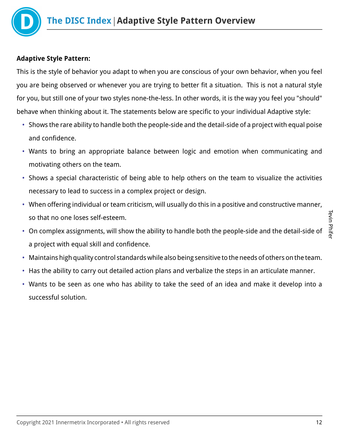

# **Adaptive Style Pattern:**

This is the style of behavior you adapt to when you are conscious of your own behavior, when you feel you are being observed or whenever you are trying to better fit a situation. This is not a natural style for you, but still one of your two styles none-the-less. In other words, it is the way you feel you "should" behave when thinking about it. The statements below are specific to your individual Adaptive style:

- Shows the rare ability to handle both the people-side and the detail-side of a project with equal poise and confidence.
- Wants to bring an appropriate balance between logic and emotion when communicating and motivating others on the team.
- Shows a special characteristic of being able to help others on the team to visualize the activities necessary to lead to success in a complex project or design.
- When offering individual or team criticism, will usually do this in a positive and constructive manner, so that no one loses self-esteem.
- On complex assignments, will show the ability to handle both the people-side and the detail-side of a project with equal skill and confidence.
- Maintains high quality control standards while also being sensitive to the needs of others on the team.
- Has the ability to carry out detailed action plans and verbalize the steps in an articulate manner.
- Wants to be seen as one who has ability to take the seed of an idea and make it develop into a successful solution.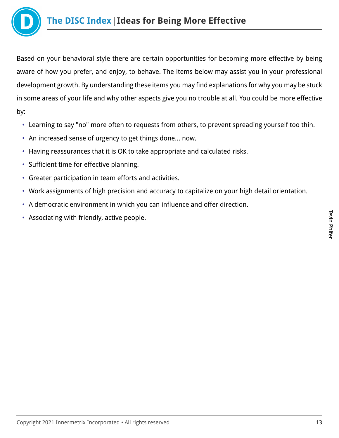

Based on your behavioral style there are certain opportunities for becoming more effective by being aware of how you prefer, and enjoy, to behave. The items below may assist you in your professional development growth. By understanding these items you may find explanations for why you may be stuck in some areas of your life and why other aspects give you no trouble at all. You could be more effective by:

- Learning to say "no" more often to requests from others, to prevent spreading yourself too thin.
- An increased sense of urgency to get things done… now.
- Having reassurances that it is OK to take appropriate and calculated risks.
- Sufficient time for effective planning.
- Greater participation in team efforts and activities.
- Work assignments of high precision and accuracy to capitalize on your high detail orientation.
- A democratic environment in which you can influence and offer direction.
- Associating with friendly, active people.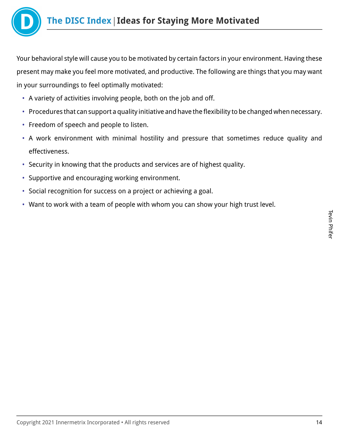

Your behavioral style will cause you to be motivated by certain factors in your environment. Having these present may make you feel more motivated, and productive. The following are things that you may want in your surroundings to feel optimally motivated:

- A variety of activities involving people, both on the job and off.
- Procedures that can support a quality initiative and have the flexibility to be changed when necessary.
- Freedom of speech and people to listen.
- A work environment with minimal hostility and pressure that sometimes reduce quality and effectiveness.
- Security in knowing that the products and services are of highest quality.
- Supportive and encouraging working environment.
- Social recognition for success on a project or achieving a goal.
- Want to work with a team of people with whom you can show your high trust level.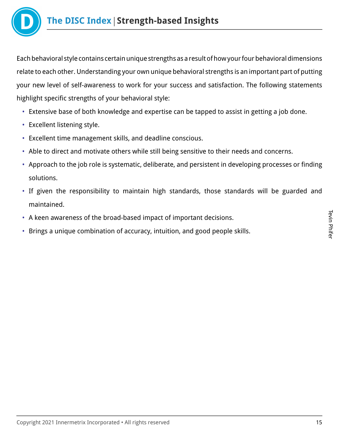

Each behavioral style contains certain unique strengths as a result of how your four behavioral dimensions relate to each other. Understanding your own unique behavioral strengths is an important part of putting your new level of self-awareness to work for your success and satisfaction. The following statements highlight specific strengths of your behavioral style:

- Extensive base of both knowledge and expertise can be tapped to assist in getting a job done.
- Excellent listening style.
- Excellent time management skills, and deadline conscious.
- Able to direct and motivate others while still being sensitive to their needs and concerns.
- Approach to the job role is systematic, deliberate, and persistent in developing processes or finding solutions.
- If given the responsibility to maintain high standards, those standards will be guarded and maintained.
- A keen awareness of the broad-based impact of important decisions.
- Brings a unique combination of accuracy, intuition, and good people skills.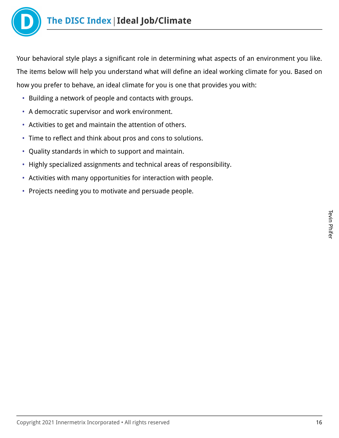

Your behavioral style plays a significant role in determining what aspects of an environment you like. The items below will help you understand what will define an ideal working climate for you. Based on how you prefer to behave, an ideal climate for you is one that provides you with:

- Building a network of people and contacts with groups.
- A democratic supervisor and work environment.
- Activities to get and maintain the attention of others.
- Time to reflect and think about pros and cons to solutions.
- Quality standards in which to support and maintain.
- Highly specialized assignments and technical areas of responsibility.
- Activities with many opportunities for interaction with people.
- Projects needing you to motivate and persuade people.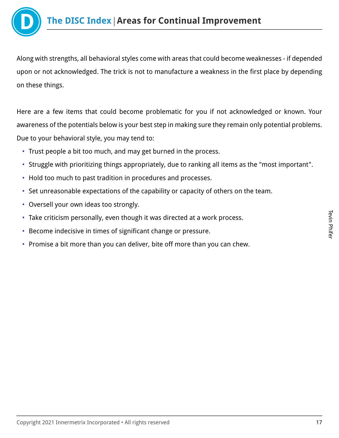

Along with strengths, all behavioral styles come with areas that could become weaknesses - if depended upon or not acknowledged. The trick is not to manufacture a weakness in the first place by depending on these things.

Here are a few items that could become problematic for you if not acknowledged or known. Your awareness of the potentials below is your best step in making sure they remain only potential problems. Due to your behavioral style, you may tend to:

- Trust people a bit too much, and may get burned in the process.
- Struggle with prioritizing things appropriately, due to ranking all items as the "most important".
- Hold too much to past tradition in procedures and processes.
- Set unreasonable expectations of the capability or capacity of others on the team.
- Oversell your own ideas too strongly.
- Take criticism personally, even though it was directed at a work process.
- Become indecisive in times of significant change or pressure.
- Promise a bit more than you can deliver, bite off more than you can chew.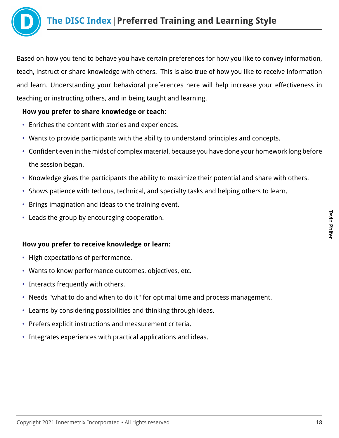

Based on how you tend to behave you have certain preferences for how you like to convey information, teach, instruct or share knowledge with others. This is also true of how you like to receive information and learn. Understanding your behavioral preferences here will help increase your effectiveness in teaching or instructing others, and in being taught and learning.

# **How you prefer to share knowledge or teach:**

- Enriches the content with stories and experiences.
- Wants to provide participants with the ability to understand principles and concepts.
- Confident even in the midst of complex material, because you have done your homework long before the session began.
- Knowledge gives the participants the ability to maximize their potential and share with others.
- Shows patience with tedious, technical, and specialty tasks and helping others to learn.
- Brings imagination and ideas to the training event.
- Leads the group by encouraging cooperation.

## **How you prefer to receive knowledge or learn:**

- High expectations of performance.
- Wants to know performance outcomes, objectives, etc.
- Interacts frequently with others.
- Needs "what to do and when to do it" for optimal time and process management.
- Learns by considering possibilities and thinking through ideas.
- Prefers explicit instructions and measurement criteria.
- Integrates experiences with practical applications and ideas.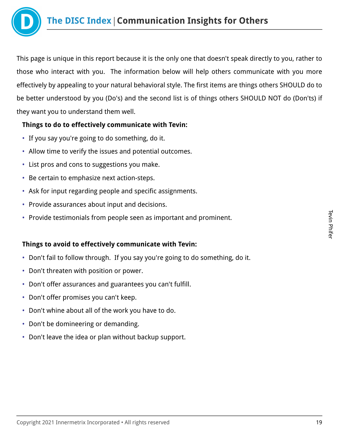

This page is unique in this report because it is the only one that doesn't speak directly to you, rather to those who interact with you. The information below will help others communicate with you more effectively by appealing to your natural behavioral style. The first items are things others SHOULD do to be better understood by you (Do's) and the second list is of things others SHOULD NOT do (Don'ts) if they want you to understand them well.

# **Things to do to effectively communicate with Tevin:**

- If you say you're going to do something, do it.
- Allow time to verify the issues and potential outcomes.
- List pros and cons to suggestions you make.
- Be certain to emphasize next action-steps.
- Ask for input regarding people and specific assignments.
- Provide assurances about input and decisions.
- Provide testimonials from people seen as important and prominent.

# **Things to avoid to effectively communicate with Tevin:**

- Don't fail to follow through. If you say you're going to do something, do it.
- Don't threaten with position or power.
- Don't offer assurances and guarantees you can't fulfill.
- Don't offer promises you can't keep.
- Don't whine about all of the work you have to do.
- Don't be domineering or demanding.
- Don't leave the idea or plan without backup support.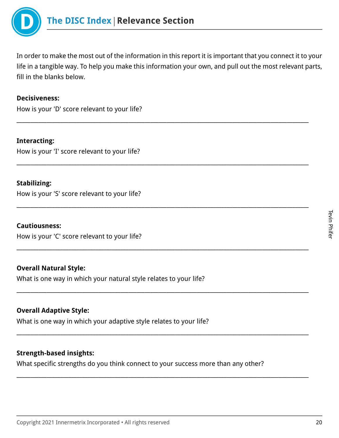

In order to make the most out of the information in this report it is important that you connect it to your life in a tangible way. To help you make this information your own, and pull out the most relevant parts, fill in the blanks below.

\_\_\_\_\_\_\_\_\_\_\_\_\_\_\_\_\_\_\_\_\_\_\_\_\_\_\_\_\_\_\_\_\_\_\_\_\_\_\_\_\_\_\_\_\_\_\_\_\_\_\_\_\_\_\_\_\_\_\_\_\_\_\_\_\_\_\_\_\_\_\_\_\_\_\_\_\_\_\_\_\_\_\_\_\_\_\_\_\_\_\_\_\_\_\_\_\_\_\_\_\_\_\_\_\_\_\_

\_\_\_\_\_\_\_\_\_\_\_\_\_\_\_\_\_\_\_\_\_\_\_\_\_\_\_\_\_\_\_\_\_\_\_\_\_\_\_\_\_\_\_\_\_\_\_\_\_\_\_\_\_\_\_\_\_\_\_\_\_\_\_\_\_\_\_\_\_\_\_\_\_\_\_\_\_\_\_\_\_\_\_\_\_\_\_\_\_\_\_\_\_\_\_\_\_\_\_\_\_\_\_\_\_\_\_

\_\_\_\_\_\_\_\_\_\_\_\_\_\_\_\_\_\_\_\_\_\_\_\_\_\_\_\_\_\_\_\_\_\_\_\_\_\_\_\_\_\_\_\_\_\_\_\_\_\_\_\_\_\_\_\_\_\_\_\_\_\_\_\_\_\_\_\_\_\_\_\_\_\_\_\_\_\_\_\_\_\_\_\_\_\_\_\_\_\_\_\_\_\_\_\_\_\_\_\_\_\_\_\_\_\_\_

\_\_\_\_\_\_\_\_\_\_\_\_\_\_\_\_\_\_\_\_\_\_\_\_\_\_\_\_\_\_\_\_\_\_\_\_\_\_\_\_\_\_\_\_\_\_\_\_\_\_\_\_\_\_\_\_\_\_\_\_\_\_\_\_\_\_\_\_\_\_\_\_\_\_\_\_\_\_\_\_\_\_\_\_\_\_\_\_\_\_\_\_\_\_\_\_\_\_\_\_\_\_\_\_\_\_\_

\_\_\_\_\_\_\_\_\_\_\_\_\_\_\_\_\_\_\_\_\_\_\_\_\_\_\_\_\_\_\_\_\_\_\_\_\_\_\_\_\_\_\_\_\_\_\_\_\_\_\_\_\_\_\_\_\_\_\_\_\_\_\_\_\_\_\_\_\_\_\_\_\_\_\_\_\_\_\_\_\_\_\_\_\_\_\_\_\_\_\_\_\_\_\_\_\_\_\_\_\_\_\_\_\_\_\_

\_\_\_\_\_\_\_\_\_\_\_\_\_\_\_\_\_\_\_\_\_\_\_\_\_\_\_\_\_\_\_\_\_\_\_\_\_\_\_\_\_\_\_\_\_\_\_\_\_\_\_\_\_\_\_\_\_\_\_\_\_\_\_\_\_\_\_\_\_\_\_\_\_\_\_\_\_\_\_\_\_\_\_\_\_\_\_\_\_\_\_\_\_\_\_\_\_\_\_\_\_\_\_\_\_\_\_

\_\_\_\_\_\_\_\_\_\_\_\_\_\_\_\_\_\_\_\_\_\_\_\_\_\_\_\_\_\_\_\_\_\_\_\_\_\_\_\_\_\_\_\_\_\_\_\_\_\_\_\_\_\_\_\_\_\_\_\_\_\_\_\_\_\_\_\_\_\_\_\_\_\_\_\_\_\_\_\_\_\_\_\_\_\_\_\_\_\_\_\_\_\_\_\_\_\_\_\_\_\_\_\_\_\_\_

#### **Decisiveness:**

How is your 'D' score relevant to your life?

**Interacting:** How is your 'I' score relevant to your life?

#### **Stabilizing:**

How is your 'S' score relevant to your life?

#### **Cautiousness:**

How is your 'C' score relevant to your life?

#### **Overall Natural Style:**

What is one way in which your natural style relates to your life?

#### **Overall Adaptive Style:**

What is one way in which your adaptive style relates to your life?

## **Strength-based insights:**

What specific strengths do you think connect to your success more than any other?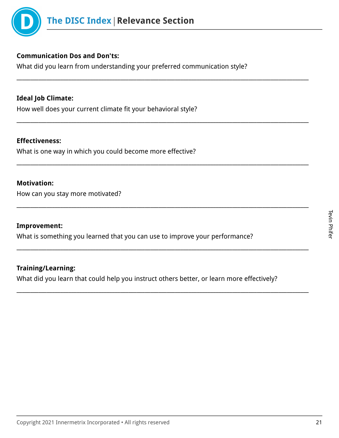

# **Communication Dos and Don'ts:**

What did you learn from understanding your preferred communication style?

\_\_\_\_\_\_\_\_\_\_\_\_\_\_\_\_\_\_\_\_\_\_\_\_\_\_\_\_\_\_\_\_\_\_\_\_\_\_\_\_\_\_\_\_\_\_\_\_\_\_\_\_\_\_\_\_\_\_\_\_\_\_\_\_\_\_\_\_\_\_\_\_\_\_\_\_\_\_\_\_\_\_\_\_\_\_\_\_\_\_\_\_\_\_\_\_\_\_\_\_\_\_\_\_\_\_\_

\_\_\_\_\_\_\_\_\_\_\_\_\_\_\_\_\_\_\_\_\_\_\_\_\_\_\_\_\_\_\_\_\_\_\_\_\_\_\_\_\_\_\_\_\_\_\_\_\_\_\_\_\_\_\_\_\_\_\_\_\_\_\_\_\_\_\_\_\_\_\_\_\_\_\_\_\_\_\_\_\_\_\_\_\_\_\_\_\_\_\_\_\_\_\_\_\_\_\_\_\_\_\_\_\_\_\_

\_\_\_\_\_\_\_\_\_\_\_\_\_\_\_\_\_\_\_\_\_\_\_\_\_\_\_\_\_\_\_\_\_\_\_\_\_\_\_\_\_\_\_\_\_\_\_\_\_\_\_\_\_\_\_\_\_\_\_\_\_\_\_\_\_\_\_\_\_\_\_\_\_\_\_\_\_\_\_\_\_\_\_\_\_\_\_\_\_\_\_\_\_\_\_\_\_\_\_\_\_\_\_\_\_\_\_

\_\_\_\_\_\_\_\_\_\_\_\_\_\_\_\_\_\_\_\_\_\_\_\_\_\_\_\_\_\_\_\_\_\_\_\_\_\_\_\_\_\_\_\_\_\_\_\_\_\_\_\_\_\_\_\_\_\_\_\_\_\_\_\_\_\_\_\_\_\_\_\_\_\_\_\_\_\_\_\_\_\_\_\_\_\_\_\_\_\_\_\_\_\_\_\_\_\_\_\_\_\_\_\_\_\_\_

\_\_\_\_\_\_\_\_\_\_\_\_\_\_\_\_\_\_\_\_\_\_\_\_\_\_\_\_\_\_\_\_\_\_\_\_\_\_\_\_\_\_\_\_\_\_\_\_\_\_\_\_\_\_\_\_\_\_\_\_\_\_\_\_\_\_\_\_\_\_\_\_\_\_\_\_\_\_\_\_\_\_\_\_\_\_\_\_\_\_\_\_\_\_\_\_\_\_\_\_\_\_\_\_\_\_\_

\_\_\_\_\_\_\_\_\_\_\_\_\_\_\_\_\_\_\_\_\_\_\_\_\_\_\_\_\_\_\_\_\_\_\_\_\_\_\_\_\_\_\_\_\_\_\_\_\_\_\_\_\_\_\_\_\_\_\_\_\_\_\_\_\_\_\_\_\_\_\_\_\_\_\_\_\_\_\_\_\_\_\_\_\_\_\_\_\_\_\_\_\_\_\_\_\_\_\_\_\_\_\_\_\_\_\_

# **Ideal Job Climate:**

How well does your current climate fit your behavioral style?

#### **Effectiveness:**

What is one way in which you could become more effective?

#### **Motivation:**

How can you stay more motivated?

## **Improvement:**

What is something you learned that you can use to improve your performance?

## **Training/Learning:**

What did you learn that could help you instruct others better, or learn more effectively?